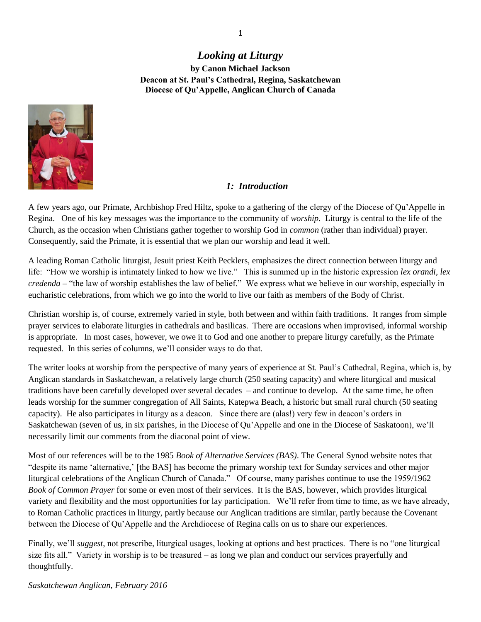# *Looking at Liturgy* **by Canon Michael Jackson Deacon at St. Paul's Cathedral, Regina, Saskatchewan Diocese of Qu'Appelle, Anglican Church of Canada**



## *1: Introduction*

A few years ago, our Primate, Archbishop Fred Hiltz, spoke to a gathering of the clergy of the Diocese of Qu'Appelle in Regina. One of his key messages was the importance to the community of *worship*. Liturgy is central to the life of the Church, as the occasion when Christians gather together to worship God in *common* (rather than individual) prayer. Consequently, said the Primate, it is essential that we plan our worship and lead it well.

A leading Roman Catholic liturgist, Jesuit priest Keith Pecklers, emphasizes the direct connection between liturgy and life: "How we worship is intimately linked to how we live." This is summed up in the historic expression *lex orandi, lex credenda* – "the law of worship establishes the law of belief." We express what we believe in our worship, especially in eucharistic celebrations, from which we go into the world to live our faith as members of the Body of Christ.

Christian worship is, of course, extremely varied in style, both between and within faith traditions. It ranges from simple prayer services to elaborate liturgies in cathedrals and basilicas. There are occasions when improvised, informal worship is appropriate. In most cases, however, we owe it to God and one another to prepare liturgy carefully, as the Primate requested. In this series of columns, we'll consider ways to do that.

The writer looks at worship from the perspective of many years of experience at St. Paul's Cathedral, Regina, which is, by Anglican standards in Saskatchewan, a relatively large church (250 seating capacity) and where liturgical and musical traditions have been carefully developed over several decades – and continue to develop. At the same time, he often leads worship for the summer congregation of All Saints, Katepwa Beach, a historic but small rural church (50 seating capacity). He also participates in liturgy as a deacon. Since there are (alas!) very few in deacon's orders in Saskatchewan (seven of us, in six parishes, in the Diocese of Qu'Appelle and one in the Diocese of Saskatoon), we'll necessarily limit our comments from the diaconal point of view.

Most of our references will be to the 1985 *Book of Alternative Services (BAS)*. The General Synod website notes that "despite its name 'alternative,' [the BAS] has become the primary worship text for Sunday services and other major liturgical celebrations of the Anglican Church of Canada." Of course, many parishes continue to use the 1959/1962 *Book of Common Prayer* for some or even most of their services. It is the BAS, however, which provides liturgical variety and flexibility and the most opportunities for lay participation. We'll refer from time to time, as we have already, to Roman Catholic practices in liturgy, partly because our Anglican traditions are similar, partly because the Covenant between the Diocese of Qu'Appelle and the Archdiocese of Regina calls on us to share our experiences.

Finally, we'll *suggest*, not prescribe, liturgical usages, looking at options and best practices. There is no "one liturgical size fits all." Variety in worship is to be treasured – as long we plan and conduct our services prayerfully and thoughtfully.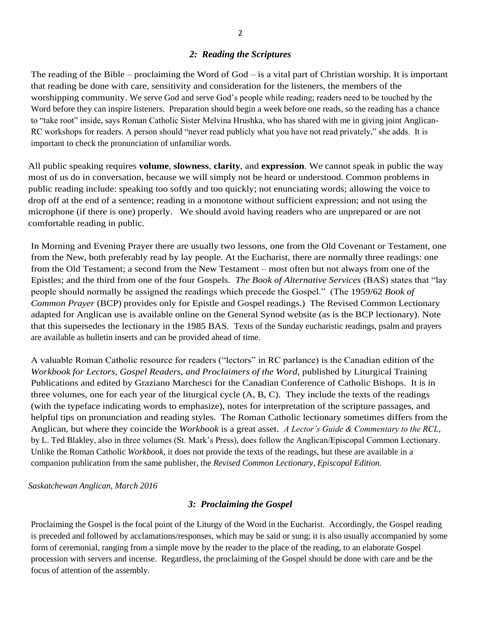## *2: Reading the Scriptures*

The reading of the Bible – proclaiming the Word of God – is a vital part of Christian worship. It is important that reading be done with care, sensitivity and consideration for the listeners, the members of the worshipping community. We serve God and serve God's people while reading; readers need to be touched by the Word before they can inspire listeners. Preparation should begin a week before one reads, so the reading has a chance to "take root" inside, says Roman Catholic Sister Melvina Hrushka, who has shared with me in giving joint Anglican-RC workshops for readers. A person should "never read publicly what you have not read privately," she adds. It is important to check the pronunciation of unfamiliar words.

All public speaking requires **volume**, **slowness**, **clarity**, and **expression**. We cannot speak in public the way most of us do in conversation, because we will simply not be heard or understood. Common problems in public reading include: speaking too softly and too quickly; not enunciating words; allowing the voice to drop off at the end of a sentence; reading in a monotone without sufficient expression; and not using the microphone (if there is one) properly. We should avoid having readers who are unprepared or are not comfortable reading in public.

In Morning and Evening Prayer there are usually two lessons, one from the Old Covenant or Testament, one from the New, both preferably read by lay people. At the Eucharist, there are normally three readings: one from the Old Testament; a second from the New Testament – most often but not always from one of the Epistles; and the third from one of the four Gospels. *The Book of Alternative Services* (BAS) states that "lay people should normally be assigned the readings which precede the Gospel." (The 1959/62 *Book of Common Prayer* (BCP) provides only for Epistle and Gospel readings.) The Revised Common Lectionary adapted for Anglican use is available online on the General Synod website (as is the BCP lectionary). Note that this supersedes the lectionary in the 1985 BAS. Texts of the Sunday eucharistic readings, psalm and prayers are available as bulletin inserts and can be provided ahead of time.

A valuable Roman Catholic resource for readers ("lectors" in RC parlance) is the Canadian edition of the *Workbook for Lectors, Gospel Readers, and Proclaimers of the Word*, published by Liturgical Training Publications and edited by Graziano Marchesci for the Canadian Conference of Catholic Bishops. It is in three volumes, one for each year of the liturgical cycle (A, B, C). They include the texts of the readings (with the typeface indicating words to emphasize), notes for interpretation of the scripture passages, and helpful tips on pronunciation and reading styles. The Roman Catholic lectionary sometimes differs from the Anglican, but where they coincide the *Workbook* is a great asset. *A Lector's Guide & Commentary to the RCL*, by L. Ted Blakley, also in three volumes (St. Mark's Press), does follow the Anglican/Episcopal Common Lectionary. Unlike the Roman Catholic *Workbook*, it does not provide the texts of the readings, but these are available in a companion publication from the same publisher, the *Revised Common Lectionary, Episcopal Edition.*

*Saskatchewan Anglican, March 2016*

## *3: Proclaiming the Gospel*

Proclaiming the Gospel is the focal point of the Liturgy of the Word in the Eucharist. Accordingly, the Gospel reading is preceded and followed by acclamations/responses, which may be said or sung; it is also usually accompanied by some form of ceremonial, ranging from a simple move by the reader to the place of the reading, to an elaborate Gospel procession with servers and incense. Regardless, the proclaiming of the Gospel should be done with care and be the focus of attention of the assembly.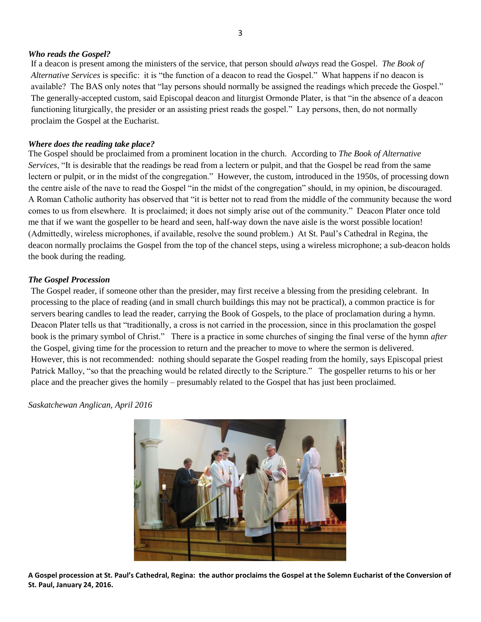### *Who reads the Gospel?*

If a deacon is present among the ministers of the service, that person should *always* read the Gospel. *The Book of Alternative Services* is specific: it is "the function of a deacon to read the Gospel." What happens if no deacon is available? The BAS only notes that "lay persons should normally be assigned the readings which precede the Gospel." The generally-accepted custom, said Episcopal deacon and liturgist Ormonde Plater, is that "in the absence of a deacon functioning liturgically, the presider or an assisting priest reads the gospel." Lay persons, then, do not normally proclaim the Gospel at the Eucharist.

## *Where does the reading take place?*

The Gospel should be proclaimed from a prominent location in the church. According to *The Book of Alternative Services*, "It is desirable that the readings be read from a lectern or pulpit, and that the Gospel be read from the same lectern or pulpit, or in the midst of the congregation." However, the custom, introduced in the 1950s, of processing down the centre aisle of the nave to read the Gospel "in the midst of the congregation" should, in my opinion, be discouraged. A Roman Catholic authority has observed that "it is better not to read from the middle of the community because the word comes to us from elsewhere. It is proclaimed; it does not simply arise out of the community." Deacon Plater once told me that if we want the gospeller to be heard and seen, half-way down the nave aisle is the worst possible location! (Admittedly, wireless microphones, if available, resolve the sound problem.) At St. Paul's Cathedral in Regina, the deacon normally proclaims the Gospel from the top of the chancel steps, using a wireless microphone; a sub-deacon holds the book during the reading.

### *The Gospel Procession*

The Gospel reader, if someone other than the presider, may first receive a blessing from the presiding celebrant. In processing to the place of reading (and in small church buildings this may not be practical), a common practice is for servers bearing candles to lead the reader, carrying the Book of Gospels, to the place of proclamation during a hymn. Deacon Plater tells us that "traditionally, a cross is not carried in the procession, since in this proclamation the gospel book is the primary symbol of Christ." There is a practice in some churches of singing the final verse of the hymn *after* the Gospel, giving time for the procession to return and the preacher to move to where the sermon is delivered. However, this is not recommended: nothing should separate the Gospel reading from the homily, says Episcopal priest Patrick Malloy, "so that the preaching would be related directly to the Scripture." The gospeller returns to his or her place and the preacher gives the homily – presumably related to the Gospel that has just been proclaimed.

*Saskatchewan Anglican, April 2016*



**A Gospel procession at St. Paul's Cathedral, Regina: the author proclaims the Gospel at the Solemn Eucharist of the Conversion of St. Paul, January 24, 2016.**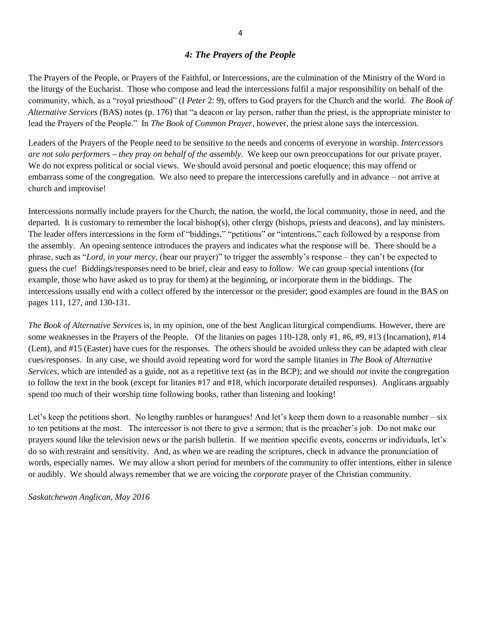## *4: The Prayers of the People*

The Prayers of the People, or Prayers of the Faithful, or Intercessions, are the culmination of the Ministry of the Word in the liturgy of the Eucharist. Those who compose and lead the intercessions fulfil a major responsibility on behalf of the community, which, as a "royal priesthood" (I *Peter* 2: 9), offers to God prayers for the Church and the world. *The Book of Alternative Services* (BAS) notes (p. 176) that "a deacon or lay person, rather than the priest, is the appropriate minister to lead the Prayers of the People." In *The Book of Common Prayer*, however, the priest alone says the intercession.

Leaders of the Prayers of the People need to be sensitive to the needs and concerns of everyone in worship. *Intercessors are not solo performers* **–** *they pray on behalf of the assembly*. We keep our own preoccupations for our private prayer. We do not express political or social views. We should avoid personal and poetic eloquence; this may offend or embarrass some of the congregation. We also need to prepare the intercessions carefully and in advance – not arrive at church and improvise!

Intercessions normally include prayers for the Church, the nation, the world, the local community, those in need, and the departed. It is customary to remember the local bishop(s), other clergy (bishops, priests and deacons), and lay ministers. The leader offers intercessions in the form of "biddings," "petitions" or "intentions," each followed by a response from the assembly. An opening sentence introduces the prayers and indicates what the response will be. There should be a phrase, such as "*Lord, in your mercy*, (hear our prayer)" to trigger the assembly's response – they can't be expected to guess the cue! Biddings/responses need to be brief, clear and easy to follow. We can group special intentions (for example, those who have asked us to pray for them) at the beginning, or incorporate them in the biddings. The intercessions usually end with a collect offered by the intercessor or the presider; good examples are found in the BAS on pages 111, 127, and 130-131.

*The Book of Alternative Services* is, in my opinion, one of the best Anglican liturgical compendiums. However, there are some weaknesses in the Prayers of the People. Of the litanies on pages 110-128, only #1, #6, #9, #13 (Incarnation), #14 (Lent), and #15 (Easter) have cues for the responses. The others should be avoided unless they can be adapted with clear cues/responses. In any case, we should avoid repeating word for word the sample litanies in *The Book of Alternative Services*, which are intended as a guide, not as a repetitive text (as in the BCP); and we should *not* invite the congregation to follow the text in the book (except for litanies #17 and #18, which incorporate detailed responses). Anglicans arguably spend too much of their worship time following books, rather than listening and looking!

Let's keep the petitions short. No lengthy rambles or harangues! And let's keep them down to a reasonable number – six to ten petitions at the most. The intercessor is not there to give a sermon; that is the preacher's job. Do not make our prayers sound like the television news or the parish bulletin. If we mention specific events, concerns or individuals, let's do so with restraint and sensitivity. And, as when we are reading the scriptures, check in advance the pronunciation of words, especially names. We may allow a short period for members of the community to offer intentions, either in silence or audibly. We should always remember that we are voicing the *corporate* prayer of the Christian community.

*Saskatchewan Anglican, May 2016*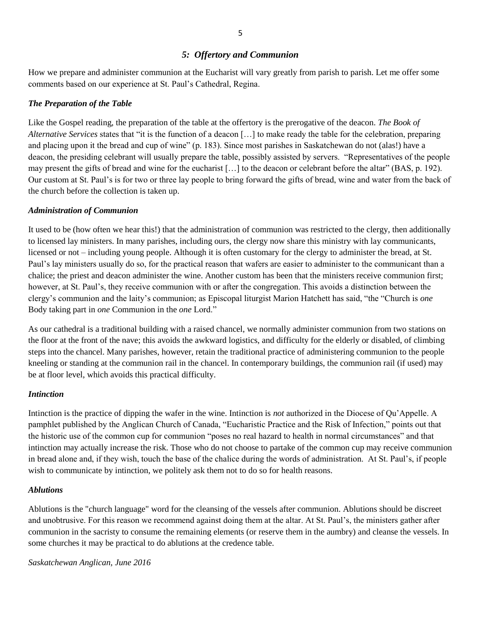### *5: Offertory and Communion*

How we prepare and administer communion at the Eucharist will vary greatly from parish to parish. Let me offer some comments based on our experience at St. Paul's Cathedral, Regina.

### *The Preparation of the Table*

Like the Gospel reading, the preparation of the table at the offertory is the prerogative of the deacon. *The Book of Alternative Services* states that "it is the function of a deacon […] to make ready the table for the celebration, preparing and placing upon it the bread and cup of wine" (p. 183). Since most parishes in Saskatchewan do not (alas!) have a deacon, the presiding celebrant will usually prepare the table, possibly assisted by servers. "Representatives of the people may present the gifts of bread and wine for the eucharist […] to the deacon or celebrant before the altar" (BAS, p. 192). Our custom at St. Paul's is for two or three lay people to bring forward the gifts of bread, wine and water from the back of the church before the collection is taken up.

#### *Administration of Communion*

It used to be (how often we hear this!) that the administration of communion was restricted to the clergy, then additionally to licensed lay ministers. In many parishes, including ours, the clergy now share this ministry with lay communicants, licensed or not – including young people. Although it is often customary for the clergy to administer the bread, at St. Paul's lay ministers usually do so, for the practical reason that wafers are easier to administer to the communicant than a chalice; the priest and deacon administer the wine. Another custom has been that the ministers receive communion first; however, at St. Paul's, they receive communion with or after the congregation. This avoids a distinction between the clergy's communion and the laity's communion; as Episcopal liturgist Marion Hatchett has said, "the "Church is *one* Body taking part in *one* Communion in the *one* Lord."

As our cathedral is a traditional building with a raised chancel, we normally administer communion from two stations on the floor at the front of the nave; this avoids the awkward logistics, and difficulty for the elderly or disabled, of climbing steps into the chancel. Many parishes, however, retain the traditional practice of administering communion to the people kneeling or standing at the communion rail in the chancel. In contemporary buildings, the communion rail (if used) may be at floor level, which avoids this practical difficulty.

#### *Intinction*

Intinction is the practice of dipping the wafer in the wine. Intinction is *not* authorized in the Diocese of Qu'Appelle. A pamphlet published by the Anglican Church of Canada, "Eucharistic Practice and the Risk of Infection," points out that the historic use of the common cup for communion "poses no real hazard to health in normal circumstances" and that intinction may actually increase the risk. Those who do not choose to partake of the common cup may receive communion in bread alone and, if they wish, touch the base of the chalice during the words of administration. At St. Paul's, if people wish to communicate by intinction, we politely ask them not to do so for health reasons.

#### *Ablutions*

Ablutions is the "church language" word for the cleansing of the vessels after communion. Ablutions should be discreet and unobtrusive. For this reason we recommend against doing them at the altar. At St. Paul's, the ministers gather after communion in the sacristy to consume the remaining elements (or reserve them in the aumbry) and cleanse the vessels. In some churches it may be practical to do ablutions at the credence table.

*Saskatchewan Anglican, June 2016*